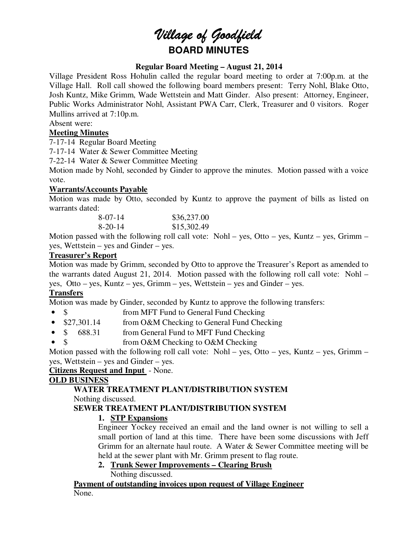# *Village of Goodfield* **BOARD MINUTES**

## **Regular Board Meeting – August 21, 2014**

Village President Ross Hohulin called the regular board meeting to order at 7:00p.m. at the Village Hall. Roll call showed the following board members present: Terry Nohl, Blake Otto, Josh Kuntz, Mike Grimm, Wade Wettstein and Matt Ginder. Also present: Attorney, Engineer, Public Works Administrator Nohl, Assistant PWA Carr, Clerk, Treasurer and 0 visitors. Roger Mullins arrived at 7:10p.m.

## Absent were:

## **Meeting Minutes**

7-17-14 Regular Board Meeting

7-17-14 Water & Sewer Committee Meeting

7-22-14 Water & Sewer Committee Meeting

Motion made by Nohl, seconded by Ginder to approve the minutes. Motion passed with a voice vote.

## **Warrants/Accounts Payable**

Motion was made by Otto, seconded by Kuntz to approve the payment of bills as listed on warrants dated:

| $8-07-14$ | \$36,237.00 |
|-----------|-------------|
| $8-20-14$ | \$15,302.49 |

Motion passed with the following roll call vote: Nohl – yes, Otto – yes, Kuntz – yes, Grimm – yes, Wettstein – yes and Ginder – yes.

## **Treasurer's Report**

Motion was made by Grimm, seconded by Otto to approve the Treasurer's Report as amended to the warrants dated August 21, 2014. Motion passed with the following roll call vote: Nohl – yes, Otto – yes, Kuntz – yes, Grimm – yes, Wettstein – yes and Ginder – yes.

## **Transfers**

Motion was made by Ginder, seconded by Kuntz to approve the following transfers:

- \$ from MFT Fund to General Fund Checking
- \$27,301.14 from O&M Checking to General Fund Checking
- \$ 688.31 from General Fund to MFT Fund Checking
- \$ from O&M Checking to O&M Checking

Motion passed with the following roll call vote: Nohl – yes, Otto – yes, Kuntz – yes, Grimm – yes, Wettstein – yes and Ginder – yes.

## **Citizens Request and Input** - None.

## **OLD BUSINESS**

## **WATER TREATMENT PLANT/DISTRIBUTION SYSTEM**

Nothing discussed.

## **SEWER TREATMENT PLANT/DISTRIBUTION SYSTEM**

## **1. STP Expansions**

Engineer Yockey received an email and the land owner is not willing to sell a small portion of land at this time. There have been some discussions with Jeff Grimm for an alternate haul route. A Water & Sewer Committee meeting will be held at the sewer plant with Mr. Grimm present to flag route.

#### **2. Trunk Sewer Improvements – Clearing Brush**  Nothing discussed.

## **Payment of outstanding invoices upon request of Village Engineer**  None.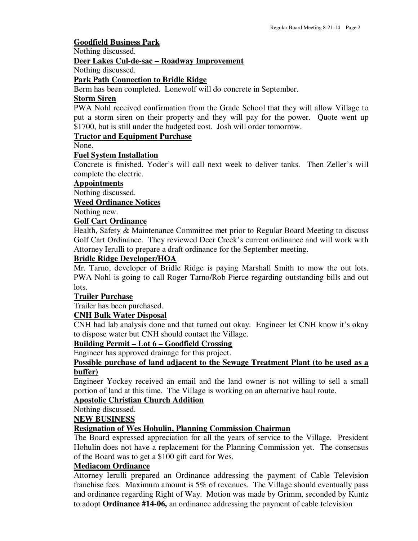#### **Goodfield Business Park**

Nothing discussed.

#### **Deer Lakes Cul-de-sac – Roadway Improvement**

Nothing discussed.

#### **Park Path Connection to Bridle Ridge**

Berm has been completed. Lonewolf will do concrete in September.

#### **Storm Siren**

PWA Nohl received confirmation from the Grade School that they will allow Village to put a storm siren on their property and they will pay for the power. Quote went up \$1700, but is still under the budgeted cost. Josh will order tomorrow.

## **Tractor and Equipment Purchase**

None.

#### **Fuel System Installation**

Concrete is finished. Yoder's will call next week to deliver tanks. Then Zeller's will complete the electric.

## **Appointments**

Nothing discussed.

**Weed Ordinance Notices** 

Nothing new.

#### **Golf Cart Ordinance**

Health, Safety & Maintenance Committee met prior to Regular Board Meeting to discuss Golf Cart Ordinance. They reviewed Deer Creek's current ordinance and will work with Attorney Ierulli to prepare a draft ordinance for the September meeting.

#### **Bridle Ridge Developer/HOA**

Mr. Tarno, developer of Bridle Ridge is paying Marshall Smith to mow the out lots. PWA Nohl is going to call Roger Tarno/Rob Pierce regarding outstanding bills and out lots.

#### **Trailer Purchase**

Trailer has been purchased.

#### **CNH Bulk Water Disposal**

CNH had lab analysis done and that turned out okay. Engineer let CNH know it's okay to dispose water but CNH should contact the Village.

#### **Building Permit – Lot 6 – Goodfield Crossing**

Engineer has approved drainage for this project.

#### **Possible purchase of land adjacent to the Sewage Treatment Plant (to be used as a buffer)**

Engineer Yockey received an email and the land owner is not willing to sell a small portion of land at this time. The Village is working on an alternative haul route.

#### **Apostolic Christian Church Addition**

Nothing discussed.

**NEW BUSINESS** 

#### **Resignation of Wes Hohulin, Planning Commission Chairman**

The Board expressed appreciation for all the years of service to the Village. President Hohulin does not have a replacement for the Planning Commission yet. The consensus of the Board was to get a \$100 gift card for Wes.

## **Mediacom Ordinance**

Attorney Ierulli prepared an Ordinance addressing the payment of Cable Television franchise fees. Maximum amount is 5% of revenues. The Village should eventually pass and ordinance regarding Right of Way. Motion was made by Grimm, seconded by Kuntz to adopt **Ordinance #14-06,** an ordinance addressing the payment of cable television